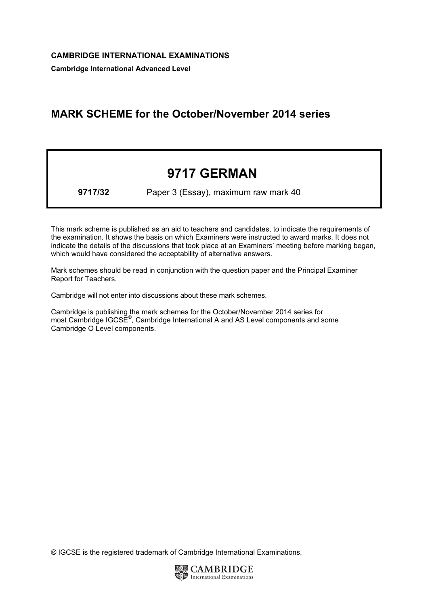Cambridge International Advanced Level

## MARK SCHEME for the October/November 2014 series

## 9717 GERMAN

9717/32 Paper 3 (Essay), maximum raw mark 40

This mark scheme is published as an aid to teachers and candidates, to indicate the requirements of the examination. It shows the basis on which Examiners were instructed to award marks. It does not indicate the details of the discussions that took place at an Examiners' meeting before marking began, which would have considered the acceptability of alternative answers.

Mark schemes should be read in conjunction with the question paper and the Principal Examiner Report for Teachers.

Cambridge will not enter into discussions about these mark schemes.

Cambridge is publishing the mark schemes for the October/November 2014 series for most Cambridge IGCSE<sup>®</sup>, Cambridge International A and AS Level components and some Cambridge O Level components.

® IGCSE is the registered trademark of Cambridge International Examinations.